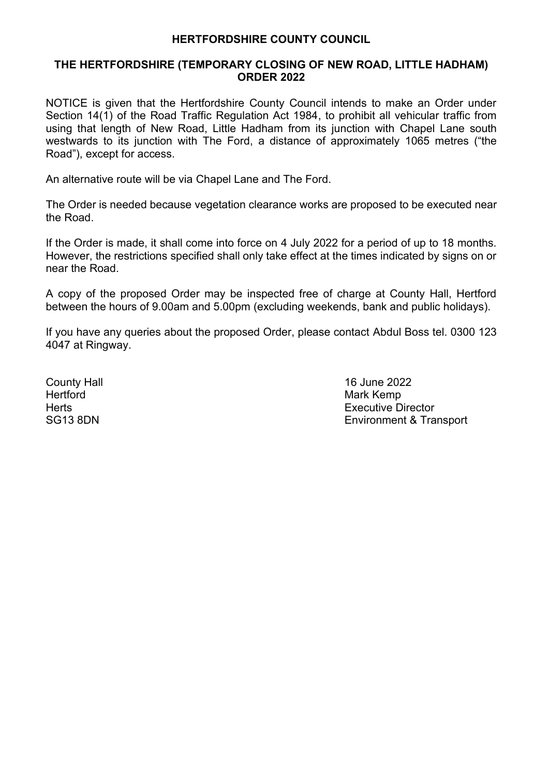## **HERTFORDSHIRE COUNTY COUNCIL**

## **THE HERTFORDSHIRE (TEMPORARY CLOSING OF NEW ROAD, LITTLE HADHAM) ORDER 2022**

NOTICE is given that the Hertfordshire County Council intends to make an Order under Section 14(1) of the Road Traffic Regulation Act 1984, to prohibit all vehicular traffic from using that length of New Road, Little Hadham from its junction with Chapel Lane south westwards to its junction with The Ford, a distance of approximately 1065 metres ("the Road"), except for access.

An alternative route will be via Chapel Lane and The Ford.

The Order is needed because vegetation clearance works are proposed to be executed near the Road.

If the Order is made, it shall come into force on 4 July 2022 for a period of up to 18 months. However, the restrictions specified shall only take effect at the times indicated by signs on or near the Road.

A copy of the proposed Order may be inspected free of charge at County Hall, Hertford between the hours of 9.00am and 5.00pm (excluding weekends, bank and public holidays).

If you have any queries about the proposed Order, please contact Abdul Boss tel. 0300 123 4047 at Ringway.

Hertford **Mark Kemp** 

**County Hall** County Hall 2022 Herts Executive Director SG13 8DN Environment & Transport